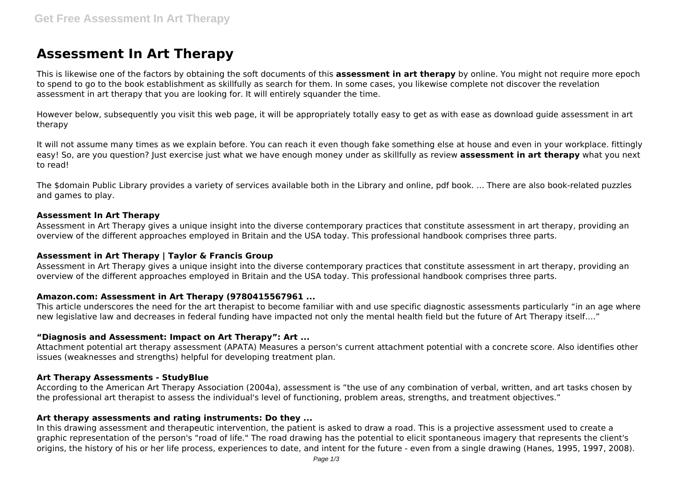# **Assessment In Art Therapy**

This is likewise one of the factors by obtaining the soft documents of this **assessment in art therapy** by online. You might not require more epoch to spend to go to the book establishment as skillfully as search for them. In some cases, you likewise complete not discover the revelation assessment in art therapy that you are looking for. It will entirely squander the time.

However below, subsequently you visit this web page, it will be appropriately totally easy to get as with ease as download guide assessment in art therapy

It will not assume many times as we explain before. You can reach it even though fake something else at house and even in your workplace. fittingly easy! So, are you question? Just exercise just what we have enough money under as skillfully as review **assessment in art therapy** what you next to read!

The \$domain Public Library provides a variety of services available both in the Library and online, pdf book. ... There are also book-related puzzles and games to play.

#### **Assessment In Art Therapy**

Assessment in Art Therapy gives a unique insight into the diverse contemporary practices that constitute assessment in art therapy, providing an overview of the different approaches employed in Britain and the USA today. This professional handbook comprises three parts.

### **Assessment in Art Therapy | Taylor & Francis Group**

Assessment in Art Therapy gives a unique insight into the diverse contemporary practices that constitute assessment in art therapy, providing an overview of the different approaches employed in Britain and the USA today. This professional handbook comprises three parts.

### **Amazon.com: Assessment in Art Therapy (9780415567961 ...**

This article underscores the need for the art therapist to become familiar with and use specific diagnostic assessments particularly "in an age where new legislative law and decreases in federal funding have impacted not only the mental health field but the future of Art Therapy itself…."

#### **"Diagnosis and Assessment: Impact on Art Therapy": Art ...**

Attachment potential art therapy assessment (APATA) Measures a person's current attachment potential with a concrete score. Also identifies other issues (weaknesses and strengths) helpful for developing treatment plan.

#### **Art Therapy Assessments - StudyBlue**

According to the American Art Therapy Association (2004a), assessment is "the use of any combination of verbal, written, and art tasks chosen by the professional art therapist to assess the individual's level of functioning, problem areas, strengths, and treatment objectives."

#### **Art therapy assessments and rating instruments: Do they ...**

In this drawing assessment and therapeutic intervention, the patient is asked to draw a road. This is a projective assessment used to create a graphic representation of the person's "road of life." The road drawing has the potential to elicit spontaneous imagery that represents the client's origins, the history of his or her life process, experiences to date, and intent for the future - even from a single drawing (Hanes, 1995, 1997, 2008).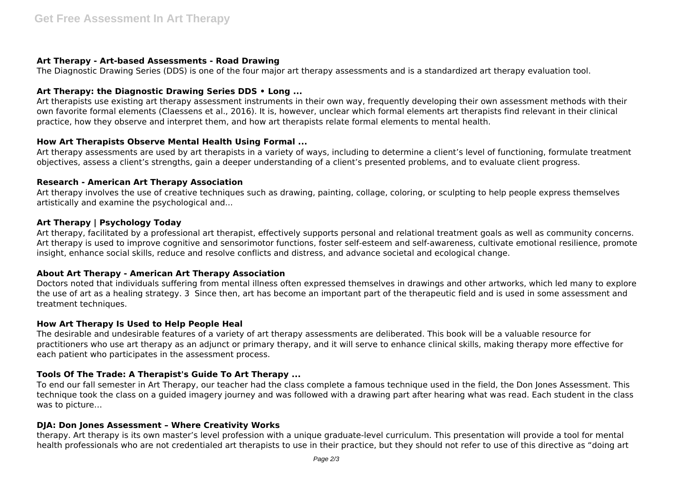# **Art Therapy - Art-based Assessments - Road Drawing**

The Diagnostic Drawing Series (DDS) is one of the four major art therapy assessments and is a standardized art therapy evaluation tool.

# **Art Therapy: the Diagnostic Drawing Series DDS • Long ...**

Art therapists use existing art therapy assessment instruments in their own way, frequently developing their own assessment methods with their own favorite formal elements (Claessens et al., 2016). It is, however, unclear which formal elements art therapists find relevant in their clinical practice, how they observe and interpret them, and how art therapists relate formal elements to mental health.

# **How Art Therapists Observe Mental Health Using Formal ...**

Art therapy assessments are used by art therapists in a variety of ways, including to determine a client's level of functioning, formulate treatment objectives, assess a client's strengths, gain a deeper understanding of a client's presented problems, and to evaluate client progress.

# **Research - American Art Therapy Association**

Art therapy involves the use of creative techniques such as drawing, painting, collage, coloring, or sculpting to help people express themselves artistically and examine the psychological and...

# **Art Therapy | Psychology Today**

Art therapy, facilitated by a professional art therapist, effectively supports personal and relational treatment goals as well as community concerns. Art therapy is used to improve cognitive and sensorimotor functions, foster self-esteem and self-awareness, cultivate emotional resilience, promote insight, enhance social skills, reduce and resolve conflicts and distress, and advance societal and ecological change.

### **About Art Therapy - American Art Therapy Association**

Doctors noted that individuals suffering from mental illness often expressed themselves in drawings and other artworks, which led many to explore the use of art as a healing strategy. 3 Since then, art has become an important part of the therapeutic field and is used in some assessment and treatment techniques.

### **How Art Therapy Is Used to Help People Heal**

The desirable and undesirable features of a variety of art therapy assessments are deliberated. This book will be a valuable resource for practitioners who use art therapy as an adjunct or primary therapy, and it will serve to enhance clinical skills, making therapy more effective for each patient who participates in the assessment process.

# **Tools Of The Trade: A Therapist's Guide To Art Therapy ...**

To end our fall semester in Art Therapy, our teacher had the class complete a famous technique used in the field, the Don Jones Assessment. This technique took the class on a guided imagery journey and was followed with a drawing part after hearing what was read. Each student in the class was to picture…

### **DJA: Don Jones Assessment – Where Creativity Works**

therapy. Art therapy is its own master's level profession with a unique graduate-level curriculum. This presentation will provide a tool for mental health professionals who are not credentialed art therapists to use in their practice, but they should not refer to use of this directive as "doing art